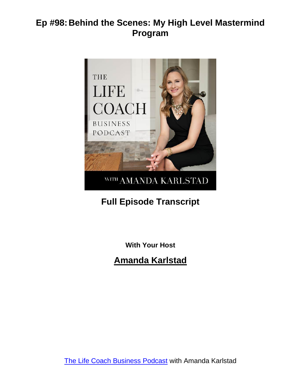

# **Full Episode Transcript**

**With Your Host**

**Amanda Karlstad**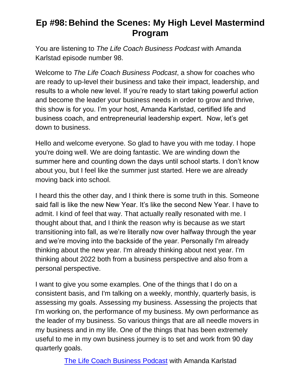You are listening to *The Life Coach Business Podcast* with Amanda Karlstad episode number 98.

Welcome to *The Life Coach Business Podcast*, a show for coaches who are ready to up-level their business and take their impact, leadership, and results to a whole new level. If you're ready to start taking powerful action and become the leader your business needs in order to grow and thrive, this show is for you. I'm your host, Amanda Karlstad, certified life and business coach, and entrepreneurial leadership expert. Now, let's get down to business.

Hello and welcome everyone. So glad to have you with me today. I hope you're doing well. We are doing fantastic. We are winding down the summer here and counting down the days until school starts. I don't know about you, but I feel like the summer just started. Here we are already moving back into school.

I heard this the other day, and I think there is some truth in this. Someone said fall is like the new New Year. It's like the second New Year. I have to admit. I kind of feel that way. That actually really resonated with me. I thought about that, and I think the reason why is because as we start transitioning into fall, as we're literally now over halfway through the year and we're moving into the backside of the year. Personally I'm already thinking about the new year. I'm already thinking about next year. I'm thinking about 2022 both from a business perspective and also from a personal perspective.

I want to give you some examples. One of the things that I do on a consistent basis, and I'm talking on a weekly, monthly, quarterly basis, is assessing my goals. Assessing my business. Assessing the projects that I'm working on, the performance of my business. My own performance as the leader of my business. So various things that are all needle movers in my business and in my life. One of the things that has been extremely useful to me in my own business journey is to set and work from 90 day quarterly goals.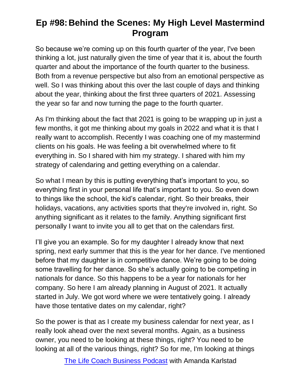So because we're coming up on this fourth quarter of the year, I've been thinking a lot, just naturally given the time of year that it is, about the fourth quarter and about the importance of the fourth quarter to the business. Both from a revenue perspective but also from an emotional perspective as well. So I was thinking about this over the last couple of days and thinking about the year, thinking about the first three quarters of 2021. Assessing the year so far and now turning the page to the fourth quarter.

As I'm thinking about the fact that 2021 is going to be wrapping up in just a few months, it got me thinking about my goals in 2022 and what it is that I really want to accomplish. Recently I was coaching one of my mastermind clients on his goals. He was feeling a bit overwhelmed where to fit everything in. So I shared with him my strategy. I shared with him my strategy of calendaring and getting everything on a calendar.

So what I mean by this is putting everything that's important to you, so everything first in your personal life that's important to you. So even down to things like the school, the kid's calendar, right. So their breaks, their holidays, vacations, any activities sports that they're involved in, right. So anything significant as it relates to the family. Anything significant first personally I want to invite you all to get that on the calendars first.

I'll give you an example. So for my daughter I already know that next spring, next early summer that this is the year for her dance. I've mentioned before that my daughter is in competitive dance. We're going to be doing some travelling for her dance. So she's actually going to be competing in nationals for dance. So this happens to be a year for nationals for her company. So here I am already planning in August of 2021. It actually started in July. We got word where we were tentatively going. I already have those tentative dates on my calendar, right?

So the power is that as I create my business calendar for next year, as I really look ahead over the next several months. Again, as a business owner, you need to be looking at these things, right? You need to be looking at all of the various things, right? So for me, I'm looking at things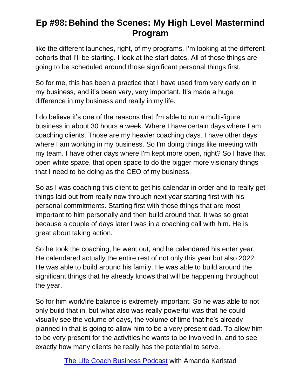like the different launches, right, of my programs. I'm looking at the different cohorts that I'll be starting. I look at the start dates. All of those things are going to be scheduled around those significant personal things first.

So for me, this has been a practice that I have used from very early on in my business, and it's been very, very important. It's made a huge difference in my business and really in my life.

I do believe it's one of the reasons that I'm able to run a multi-figure business in about 30 hours a week. Where I have certain days where I am coaching clients. Those are my heavier coaching days. I have other days where I am working in my business. So I'm doing things like meeting with my team. I have other days where I'm kept more open, right? So I have that open white space, that open space to do the bigger more visionary things that I need to be doing as the CEO of my business.

So as I was coaching this client to get his calendar in order and to really get things laid out from really now through next year starting first with his personal commitments. Starting first with those things that are most important to him personally and then build around that. It was so great because a couple of days later I was in a coaching call with him. He is great about taking action.

So he took the coaching, he went out, and he calendared his enter year. He calendared actually the entire rest of not only this year but also 2022. He was able to build around his family. He was able to build around the significant things that he already knows that will be happening throughout the year.

So for him work/life balance is extremely important. So he was able to not only build that in, but what also was really powerful was that he could visually see the volume of days, the volume of time that he's already planned in that is going to allow him to be a very present dad. To allow him to be very present for the activities he wants to be involved in, and to see exactly how many clients he really has the potential to serve.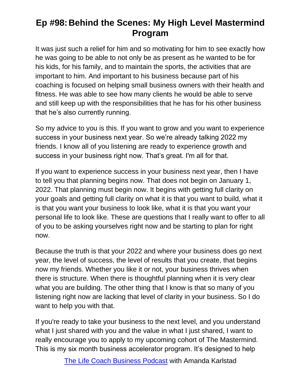It was just such a relief for him and so motivating for him to see exactly how he was going to be able to not only be as present as he wanted to be for his kids, for his family, and to maintain the sports, the activities that are important to him. And important to his business because part of his coaching is focused on helping small business owners with their health and fitness. He was able to see how many clients he would be able to serve and still keep up with the responsibilities that he has for his other business that he's also currently running.

So my advice to you is this. If you want to grow and you want to experience success in your business next year. So we're already talking 2022 my friends. I know all of you listening are ready to experience growth and success in your business right now. That's great. I'm all for that.

If you want to experience success in your business next year, then I have to tell you that planning begins now. That does not begin on January 1, 2022. That planning must begin now. It begins with getting full clarity on your goals and getting full clarity on what it is that you want to build, what it is that you want your business to look like, what it is that you want your personal life to look like. These are questions that I really want to offer to all of you to be asking yourselves right now and be starting to plan for right now.

Because the truth is that your 2022 and where your business does go next year, the level of success, the level of results that you create, that begins now my friends. Whether you like it or not, your business thrives when there is structure. When there is thoughtful planning when it is very clear what you are building. The other thing that I know is that so many of you listening right now are lacking that level of clarity in your business. So I do want to help you with that.

If you're ready to take your business to the next level, and you understand what I just shared with you and the value in what I just shared, I want to really encourage you to apply to my upcoming cohort of The Mastermind. This is my six month business accelerator program. It's designed to help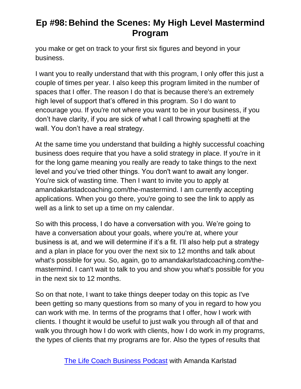you make or get on track to your first six figures and beyond in your business.

I want you to really understand that with this program, I only offer this just a couple of times per year. I also keep this program limited in the number of spaces that I offer. The reason I do that is because there's an extremely high level of support that's offered in this program. So I do want to encourage you. If you're not where you want to be in your business, if you don't have clarity, if you are sick of what I call throwing spaghetti at the wall. You don't have a real strategy.

At the same time you understand that building a highly successful coaching business does require that you have a solid strategy in place. If you're in it for the long game meaning you really are ready to take things to the next level and you've tried other things. You don't want to await any longer. You're sick of wasting time. Then I want to invite you to apply at amandakarlstadcoaching.com/the-mastermind. I am currently accepting applications. When you go there, you're going to see the link to apply as well as a link to set up a time on my calendar.

So with this process, I do have a conversation with you. We're going to have a conversation about your goals, where you're at, where your business is at, and we will determine if it's a fit. I'll also help put a strategy and a plan in place for you over the next six to 12 months and talk about what's possible for you. So, again, go to amandakarlstadcoaching.com/themastermind. I can't wait to talk to you and show you what's possible for you in the next six to 12 months.

So on that note, I want to take things deeper today on this topic as I've been getting so many questions from so many of you in regard to how you can work with me. In terms of the programs that I offer, how I work with clients. I thought it would be useful to just walk you through all of that and walk you through how I do work with clients, how I do work in my programs, the types of clients that my programs are for. Also the types of results that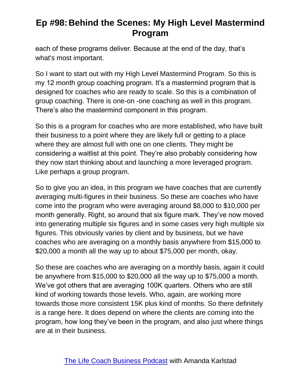each of these programs deliver. Because at the end of the day, that's what's most important.

So I want to start out with my High Level Mastermind Program. So this is my 12 month group coaching program. It's a mastermind program that is designed for coaches who are ready to scale. So this is a combination of group coaching. There is one-on -one coaching as well in this program. There's also the mastermind component in this program.

So this is a program for coaches who are more established, who have built their business to a point where they are likely full or getting to a place where they are almost full with one on one clients. They might be considering a waitlist at this point. They're also probably considering how they now start thinking about and launching a more leveraged program. Like perhaps a group program.

So to give you an idea, in this program we have coaches that are currently averaging multi-figures in their business. So these are coaches who have come into the program who were averaging around \$8,000 to \$10,000 per month generally. Right, so around that six figure mark. They've now moved into generating multiple six figures and in some cases very high multiple six figures. This obviously varies by client and by business, but we have coaches who are averaging on a monthly basis anywhere from \$15,000 to \$20,000 a month all the way up to about \$75,000 per month, okay.

So these are coaches who are averaging on a monthly basis, again it could be anywhere from \$15,000 to \$20,000 all the way up to \$75,000 a month. We've got others that are averaging 100K quarters. Others who are still kind of working towards those levels. Who, again, are working more towards those more consistent 15K plus kind of months. So there definitely is a range here. It does depend on where the clients are coming into the program, how long they've been in the program, and also just where things are at in their business.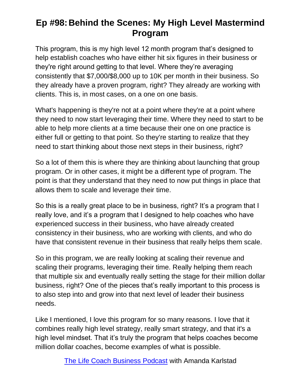This program, this is my high level 12 month program that's designed to help establish coaches who have either hit six figures in their business or they're right around getting to that level. Where they're averaging consistently that \$7,000/\$8,000 up to 10K per month in their business. So they already have a proven program, right? They already are working with clients. This is, in most cases, on a one on one basis.

What's happening is they're not at a point where they're at a point where they need to now start leveraging their time. Where they need to start to be able to help more clients at a time because their one on one practice is either full or getting to that point. So they're starting to realize that they need to start thinking about those next steps in their business, right?

So a lot of them this is where they are thinking about launching that group program. Or in other cases, it might be a different type of program. The point is that they understand that they need to now put things in place that allows them to scale and leverage their time.

So this is a really great place to be in business, right? It's a program that I really love, and it's a program that I designed to help coaches who have experienced success in their business, who have already created consistency in their business, who are working with clients, and who do have that consistent revenue in their business that really helps them scale.

So in this program, we are really looking at scaling their revenue and scaling their programs, leveraging their time. Really helping them reach that multiple six and eventually really setting the stage for their million dollar business, right? One of the pieces that's really important to this process is to also step into and grow into that next level of leader their business needs.

Like I mentioned, I love this program for so many reasons. I love that it combines really high level strategy, really smart strategy, and that it's a high level mindset. That it's truly the program that helps coaches become million dollar coaches, become examples of what is possible.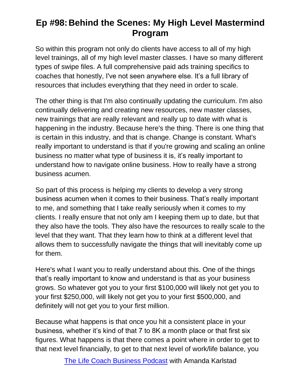So within this program not only do clients have access to all of my high level trainings, all of my high level master classes. I have so many different types of swipe files. A full comprehensive paid ads training specifics to coaches that honestly, I've not seen anywhere else. It's a full library of resources that includes everything that they need in order to scale.

The other thing is that I'm also continually updating the curriculum. I'm also continually delivering and creating new resources, new master classes, new trainings that are really relevant and really up to date with what is happening in the industry. Because here's the thing. There is one thing that is certain in this industry, and that is change. Change is constant. What's really important to understand is that if you're growing and scaling an online business no matter what type of business it is, it's really important to understand how to navigate online business. How to really have a strong business acumen.

So part of this process is helping my clients to develop a very strong business acumen when it comes to their business. That's really important to me, and something that I take really seriously when it comes to my clients. I really ensure that not only am I keeping them up to date, but that they also have the tools. They also have the resources to really scale to the level that they want. That they learn how to think at a different level that allows them to successfully navigate the things that will inevitably come up for them.

Here's what I want you to really understand about this. One of the things that's really important to know and understand is that as your business grows. So whatever got you to your first \$100,000 will likely not get you to your first \$250,000, will likely not get you to your first \$500,000, and definitely will not get you to your first million.

Because what happens is that once you hit a consistent place in your business, whether it's kind of that 7 to 8K a month place or that first six figures. What happens is that there comes a point where in order to get to that next level financially, to get to that next level of work/life balance, you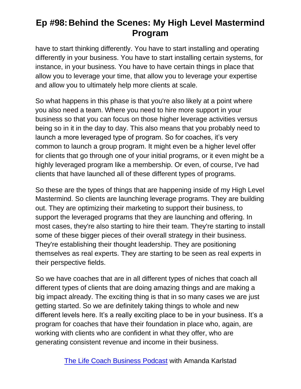have to start thinking differently. You have to start installing and operating differently in your business. You have to start installing certain systems, for instance, in your business. You have to have certain things in place that allow you to leverage your time, that allow you to leverage your expertise and allow you to ultimately help more clients at scale.

So what happens in this phase is that you're also likely at a point where you also need a team. Where you need to hire more support in your business so that you can focus on those higher leverage activities versus being so in it in the day to day. This also means that you probably need to launch a more leveraged type of program. So for coaches, it's very common to launch a group program. It might even be a higher level offer for clients that go through one of your initial programs, or it even might be a highly leveraged program like a membership. Or even, of course, I've had clients that have launched all of these different types of programs.

So these are the types of things that are happening inside of my High Level Mastermind. So clients are launching leverage programs. They are building out. They are optimizing their marketing to support their business, to support the leveraged programs that they are launching and offering. In most cases, they're also starting to hire their team. They're starting to install some of these bigger pieces of their overall strategy in their business. They're establishing their thought leadership. They are positioning themselves as real experts. They are starting to be seen as real experts in their perspective fields.

So we have coaches that are in all different types of niches that coach all different types of clients that are doing amazing things and are making a big impact already. The exciting thing is that in so many cases we are just getting started. So we are definitely taking things to whole and new different levels here. It's a really exciting place to be in your business. It's a program for coaches that have their foundation in place who, again, are working with clients who are confident in what they offer, who are generating consistent revenue and income in their business.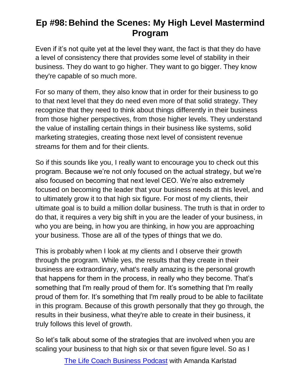Even if it's not quite yet at the level they want, the fact is that they do have a level of consistency there that provides some level of stability in their business. They do want to go higher. They want to go bigger. They know they're capable of so much more.

For so many of them, they also know that in order for their business to go to that next level that they do need even more of that solid strategy. They recognize that they need to think about things differently in their business from those higher perspectives, from those higher levels. They understand the value of installing certain things in their business like systems, solid marketing strategies, creating those next level of consistent revenue streams for them and for their clients.

So if this sounds like you, I really want to encourage you to check out this program. Because we're not only focused on the actual strategy, but we're also focused on becoming that next level CEO. We're also extremely focused on becoming the leader that your business needs at this level, and to ultimately grow it to that high six figure. For most of my clients, their ultimate goal is to build a million dollar business. The truth is that in order to do that, it requires a very big shift in you are the leader of your business, in who you are being, in how you are thinking, in how you are approaching your business. Those are all of the types of things that we do.

This is probably when I look at my clients and I observe their growth through the program. While yes, the results that they create in their business are extraordinary, what's really amazing is the personal growth that happens for them in the process, in really who they become. That's something that I'm really proud of them for. It's something that I'm really proud of them for. It's something that I'm really proud to be able to facilitate in this program. Because of this growth personally that they go through, the results in their business, what they're able to create in their business, it truly follows this level of growth.

So let's talk about some of the strategies that are involved when you are scaling your business to that high six or that seven figure level. So as I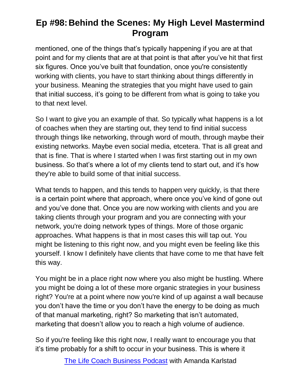mentioned, one of the things that's typically happening if you are at that point and for my clients that are at that point is that after you've hit that first six figures. Once you've built that foundation, once you're consistently working with clients, you have to start thinking about things differently in your business. Meaning the strategies that you might have used to gain that initial success, it's going to be different from what is going to take you to that next level.

So I want to give you an example of that. So typically what happens is a lot of coaches when they are starting out, they tend to find initial success through things like networking, through word of mouth, through maybe their existing networks. Maybe even social media, etcetera. That is all great and that is fine. That is where I started when I was first starting out in my own business. So that's where a lot of my clients tend to start out, and it's how they're able to build some of that initial success.

What tends to happen, and this tends to happen very quickly, is that there is a certain point where that approach, where once you've kind of gone out and you've done that. Once you are now working with clients and you are taking clients through your program and you are connecting with your network, you're doing network types of things. More of those organic approaches. What happens is that in most cases this will tap out. You might be listening to this right now, and you might even be feeling like this yourself. I know I definitely have clients that have come to me that have felt this way.

You might be in a place right now where you also might be hustling. Where you might be doing a lot of these more organic strategies in your business right? You're at a point where now you're kind of up against a wall because you don't have the time or you don't have the energy to be doing as much of that manual marketing, right? So marketing that isn't automated, marketing that doesn't allow you to reach a high volume of audience.

So if you're feeling like this right now, I really want to encourage you that it's time probably for a shift to occur in your business. This is where it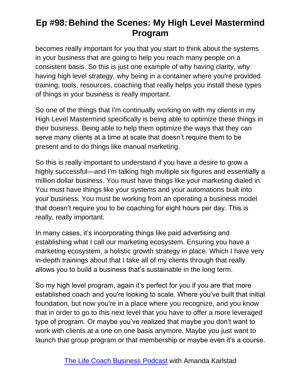becomes really important for you that you start to think about the systems in your business that are going to help you reach many people on a consistent basis. So this is just one example of why having clarity, why having high level strategy, why being in a container where you're provided training, tools, resources, coaching that really helps you install these types of things in your business is really important.

So one of the things that I'm continually working on with my clients in my High Level Mastermind specifically is being able to optimize these things in their business. Being able to help them optimize the ways that they can serve many clients at a time at scale that doesn't require them to be present and to do things like manual marketing.

So this is really important to understand if you have a desire to grow a highly successful—and I'm talking high multiple six figures and essentially a million dollar business. You must have things like your marketing dialed in. You must have things like your systems and your automations built into your business. You must be working from an operating a business model that doesn't require you to be coaching for eight hours per day. This is really, really important.

In many cases, it's incorporating things like paid advertising and establishing what I call our marketing ecosystem. Ensuring you have a marketing ecosystem, a holistic growth strategy in place. Which I have very in-depth trainings about that I take all of my clients through that really allows you to build a business that's sustainable in the long term.

So my high level program, again it's perfect for you if you are that more established coach and you're looking to scale. Where you've built that initial foundation, but now you're in a place where you recognize, and you know that in order to go to this next level that you have to offer a more leveraged type of program. Or maybe you've realized that maybe you don't want to work with clients at a one on one basis anymore. Maybe you just want to launch that group program or that membership or maybe even it's a course.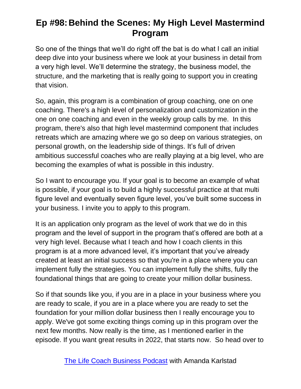So one of the things that we'll do right off the bat is do what I call an initial deep dive into your business where we look at your business in detail from a very high level. We'll determine the strategy, the business model, the structure, and the marketing that is really going to support you in creating that vision.

So, again, this program is a combination of group coaching, one on one coaching. There's a high level of personalization and customization in the one on one coaching and even in the weekly group calls by me. In this program, there's also that high level mastermind component that includes retreats which are amazing where we go so deep on various strategies, on personal growth, on the leadership side of things. It's full of driven ambitious successful coaches who are really playing at a big level, who are becoming the examples of what is possible in this industry.

So I want to encourage you. If your goal is to become an example of what is possible, if your goal is to build a highly successful practice at that multi figure level and eventually seven figure level, you've built some success in your business. I invite you to apply to this program.

It is an application only program as the level of work that we do in this program and the level of support in the program that's offered are both at a very high level. Because what I teach and how I coach clients in this program is at a more advanced level, it's important that you've already created at least an initial success so that you're in a place where you can implement fully the strategies. You can implement fully the shifts, fully the foundational things that are going to create your million dollar business.

So if that sounds like you, if you are in a place in your business where you are ready to scale, if you are in a place where you are ready to set the foundation for your million dollar business then I really encourage you to apply. We've got some exciting things coming up in this program over the next few months. Now really is the time, as I mentioned earlier in the episode. If you want great results in 2022, that starts now. So head over to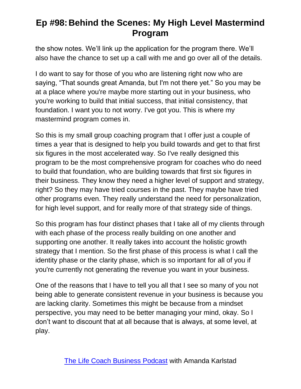the show notes. We'll link up the application for the program there. We'll also have the chance to set up a call with me and go over all of the details.

I do want to say for those of you who are listening right now who are saying, "That sounds great Amanda, but I'm not there yet." So you may be at a place where you're maybe more starting out in your business, who you're working to build that initial success, that initial consistency, that foundation. I want you to not worry. I've got you. This is where my mastermind program comes in.

So this is my small group coaching program that I offer just a couple of times a year that is designed to help you build towards and get to that first six figures in the most accelerated way. So I've really designed this program to be the most comprehensive program for coaches who do need to build that foundation, who are building towards that first six figures in their business. They know they need a higher level of support and strategy, right? So they may have tried courses in the past. They maybe have tried other programs even. They really understand the need for personalization, for high level support, and for really more of that strategy side of things.

So this program has four distinct phases that I take all of my clients through with each phase of the process really building on one another and supporting one another. It really takes into account the holistic growth strategy that I mention. So the first phase of this process is what I call the identity phase or the clarity phase, which is so important for all of you if you're currently not generating the revenue you want in your business.

One of the reasons that I have to tell you all that I see so many of you not being able to generate consistent revenue in your business is because you are lacking clarity. Sometimes this might be because from a mindset perspective, you may need to be better managing your mind, okay. So I don't want to discount that at all because that is always, at some level, at play.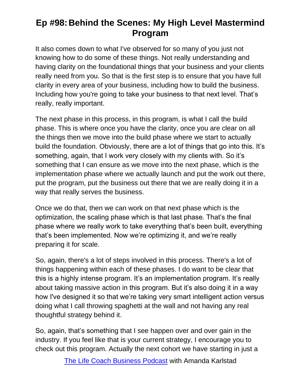It also comes down to what I've observed for so many of you just not knowing how to do some of these things. Not really understanding and having clarity on the foundational things that your business and your clients really need from you. So that is the first step is to ensure that you have full clarity in every area of your business, including how to build the business. Including how you're going to take your business to that next level. That's really, really important.

The next phase in this process, in this program, is what I call the build phase. This is where once you have the clarity, once you are clear on all the things then we move into the build phase where we start to actually build the foundation. Obviously, there are a lot of things that go into this. It's something, again, that I work very closely with my clients with. So it's something that I can ensure as we move into the next phase, which is the implementation phase where we actually launch and put the work out there, put the program, put the business out there that we are really doing it in a way that really serves the business.

Once we do that, then we can work on that next phase which is the optimization, the scaling phase which is that last phase. That's the final phase where we really work to take everything that's been built, everything that's been implemented. Now we're optimizing it, and we're really preparing it for scale.

So, again, there's a lot of steps involved in this process. There's a lot of things happening within each of these phases. I do want to be clear that this is a highly intense program. It's an implementation program. It's really about taking massive action in this program. But it's also doing it in a way how I've designed it so that we're taking very smart intelligent action versus doing what I call throwing spaghetti at the wall and not having any real thoughtful strategy behind it.

So, again, that's something that I see happen over and over gain in the industry. If you feel like that is your current strategy, I encourage you to check out this program. Actually the next cohort we have starting in just a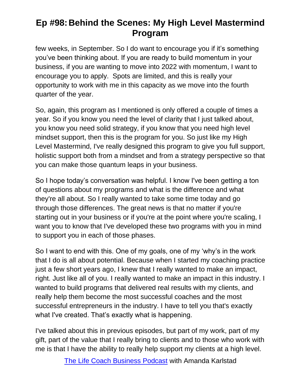few weeks, in September. So I do want to encourage you if it's something you've been thinking about. If you are ready to build momentum in your business, if you are wanting to move into 2022 with momentum, I want to encourage you to apply. Spots are limited, and this is really your opportunity to work with me in this capacity as we move into the fourth quarter of the year.

So, again, this program as I mentioned is only offered a couple of times a year. So if you know you need the level of clarity that I just talked about, you know you need solid strategy, if you know that you need high level mindset support, then this is the program for you. So just like my High Level Mastermind, I've really designed this program to give you full support, holistic support both from a mindset and from a strategy perspective so that you can make those quantum leaps in your business.

So I hope today's conversation was helpful. I know I've been getting a ton of questions about my programs and what is the difference and what they're all about. So I really wanted to take some time today and go through those differences. The great news is that no matter if you're starting out in your business or if you're at the point where you're scaling, I want you to know that I've developed these two programs with you in mind to support you in each of those phases.

So I want to end with this. One of my goals, one of my 'why's in the work that I do is all about potential. Because when I started my coaching practice just a few short years ago, I knew that I really wanted to make an impact, right. Just like all of you. I really wanted to make an impact in this industry. I wanted to build programs that delivered real results with my clients, and really help them become the most successful coaches and the most successful entrepreneurs in the industry. I have to tell you that's exactly what I've created. That's exactly what is happening.

I've talked about this in previous episodes, but part of my work, part of my gift, part of the value that I really bring to clients and to those who work with me is that I have the ability to really help support my clients at a high level.